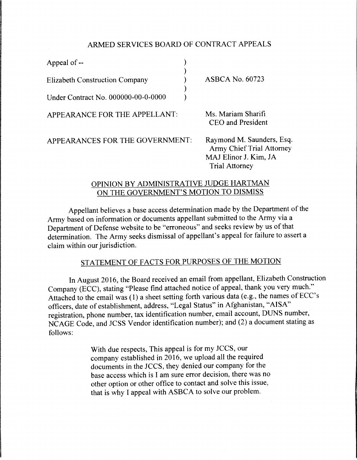## ARMED SERVICES BOARD OF CONTRACT APPEALS

| Appeal of --                          |                                                                                                                 |
|---------------------------------------|-----------------------------------------------------------------------------------------------------------------|
| <b>Elizabeth Construction Company</b> | <b>ASBCA No. 60723</b>                                                                                          |
| Under Contract No. 000000-00-0-0000   |                                                                                                                 |
| APPEARANCE FOR THE APPELLANT:         | Ms. Mariam Sharifi<br>CEO and President                                                                         |
| APPEARANCES FOR THE GOVERNMENT:       | Raymond M. Saunders, Esq.<br><b>Army Chief Trial Attorney</b><br>MAJ Elinor J. Kim, JA<br><b>Trial Attorney</b> |

## OPINION BY ADMINISTRATIVE JUDGE HARTMAN ON THE GOVERNMENT'S MOTION TO DISMISS

Appellant believes a base access determination made by the Department of the Army based on information or documents appellant submitted to the Army via a Department of Defense website to be "erroneous" and seeks review by us of that determination. The Army seeks dismissal of appellant's appeal for failure to assert a claim within our jurisdiction.

# STATEMENT OF FACTS FOR PURPOSES OF THE MOTION

In August 2016, the Board received an email from appellant, Elizabeth Construction Company (ECC), stating "Please find attached notice of appeal, thank you very much." Attached to the email was  $(1)$  a sheet setting forth various data (e.g., the names of ECC's officers, date of establishment, address, "Legal Status" in Afghanistan, "AISA" registration, phone number, tax identification number, email account, DUNS number, NCAGE Code, and JCSS Vendor identification number); and (2) a document stating as follows:

> With due respects, This appeal is for my JCCS, our company established in 2016, we upload all the required documents in the JCCS, they denied our company for the base access which is I am sure error decision, there was no other option or other office to contact and solve this issue, that is why I appeal with ASBCA to solve our problem.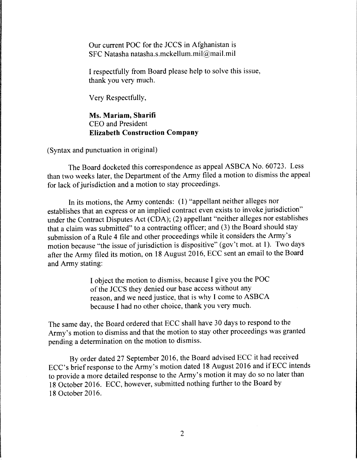Our current POC for the JCCS in Afghanistan is SFC Natasha natasha.s.mckellum.mil@mail.mil

I respectfully from Board please help to solve this issue, thank you very much.

Very Respectfully,

Ms. **Mariam, Sharifi**  CEO and President **Elizabeth Construction Company** 

(Syntax and punctuation in original)

The Board docketed this correspondence as appeal ASBCA No. 60723. Less than two weeks later, the Department of the Army filed a motion to dismiss the appeal for lack of jurisdiction and a motion to stay proceedings.

In its motions, the Army contends: (1) "appellant neither alleges nor establishes that an express or an implied contract even exists to invoke jurisdiction" under the Contract Disputes Act (CDA); (2) appellant "neither alleges nor establishes that a claim was submitted" to a contracting officer; and (3) the Board should stay submission of a Rule 4 file and other proceedings while it considers the Army's motion because "the issue of jurisdiction is dispositive" (gov't mot. at I). Two days after the Army filed its motion, on 18 August 2016, ECC sent an email to the Board and Army stating:

> I object the motion to dismiss, because I give you the POC of the JCCS they denied our base access without any reason, and we need justice, that is why I come to ASBCA because I had no other choice, thank you very much.

The same day, the Board ordered that ECC shall have 30 days to respond to the Army's motion to dismiss and that the motion to stay other proceedings was granted pending a determination on the motion to dismiss.

By order dated 27 September 2016, the Board advised ECC it had received ECC's brief response to the Army's motion dated 18 August 2016 and if ECC intends to provide a more detailed response to the Army's motion it may do so no later than 18 October 2016. ECC, however, submitted nothing further to the Board by 18 October 2016.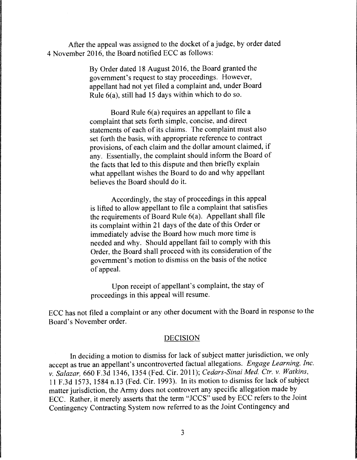After the appeal was assigned to the docket of a judge, by order dated 4 November 2016, the Board notified ECC as follows:

> By Order dated 18 August 2016, the Board granted the government's request to stay proceedings. However, appellant had not yet filed a complaint and, under Board Rule 6(a), still had 15 days within which to do so.

Board Rule 6(a) requires an appellant to file a complaint that sets forth simple, concise, and direct statements of each of its claims. The complaint must also set forth the basis, with appropriate reference to contract provisions, of each claim and the dollar amount claimed, if any. Essentially, the complaint should inform the Board of the facts that led to this dispute and then briefly explain what appellant wishes the Board to do and why appellant believes the Board should do it.

Accordingly, the stay of proceedings in this appeal is lifted to allow appellant to file a complaint that satisfies the requirements of Board Rule 6(a). Appellant shall file its complaint within 21 days of the date of this Order or immediately advise the Board how much more time is needed and why. Should appellant fail to comply with this Order, the Board shall proceed with its consideration of the government's motion to dismiss on the basis of the notice of appeal.

Upon receipt of appellant's complaint, the stay of proceedings in this appeal will resume.

ECC has not filed a complaint or any other document with the Board in response to the Board's November order.

#### DECISION

In deciding a motion to dismiss for lack of subject matter jurisdiction, we only accept as true an appellant's uncontroverted factual allegations. *Engage Learning, Inc. v. Salazar,* 660 F.3d 1346, 1354 (Fed. Cir. 2011); *Cedars-Sinai Med. Ctr. v. Watkins,*  11F.3d1573, 1584 n.13 (Fed. Cir. 1993). In its motion to dismiss for lack of subject matter jurisdiction, the Army does not controvert any specific allegation made by ECC. Rather, it merely asserts that the term "JCCS" used by ECC refers to the Joint Contingency Contracting System now referred to as the Joint Contingency and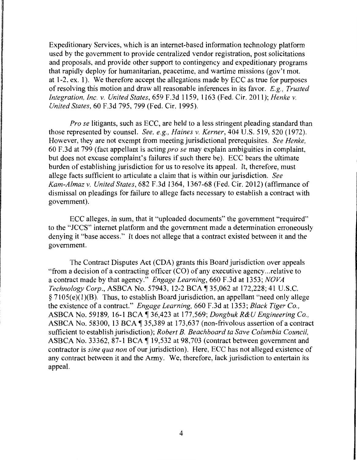Expeditionary Services, which is an internet-based information technology platform used by the government to provide centralized vendor registration, post solicitations and proposals, and provide other support to contingency and expeditionary programs that rapidly deploy for humanitarian, peacetime, and wartime missions (gov't mot. at 1-2, ex. 1). We therefore accept the allegations made by ECC as true for purposes of resolving this motion and draw all reasonable inferences in its favor. *E.g., Trusted Integration, Inc. v. United States,* 659 F.3d 1159, 1163 (Fed. Cir. 2011); *Henke v. United States,* 60 F.3d 795, 799 (Fed. Cir. 1995).

*Pro se* litigants, such as ECC, are held to a less stringent pleading standard than those represented by counsel. *See, e.g., Haines v. Kerner,* 404 U.S. 519, 520 (1972). However, they are not exempt from meeting jurisdictional prerequisites. *See Henke,*  60 F.3d at 799 (fact appellant is acting *prose* may explain ambiguities in complaint, but does not excuse complaint's failures if such there be). ECC bears the ultimate burden of establishing jurisdiction for us to resolve its appeal. It, therefore, must allege facts sufficient to articulate a claim that is within our jurisdiction. *See Kam-Almaz v. United States,* 682 F.3d 1364, 1367-68 (Fed. Cir. 2012) (affirmance of dismissal on pleadings for failure to allege facts necessary to establish a contract with government).

ECC alleges, in sum, that it "uploaded documents" the government "required" to the "JCCS" internet platform and the government made a determination erroneously denying it "base access." It does not allege that a contract existed between it and the government.

The Contract Disputes Act (CDA) grants this Board jurisdiction over appeals "from a decision of a contracting officer (CO) of any executive agency ... relative to a contract made by that agency." *Engage Learning,* 660 F.3d at 1353; *NOVA Technology Corp.,* ASBCA No. 57943, 12-2 BCA ~ 35,062 at 172,228; 41 U.S.C.  $\S 7105(e)(1)(B)$ . Thus, to establish Board jurisdiction, an appellant "need only allege the existence of a contract." *Engage Learning,* 660 F.3d at 1353; *Black Tiger Co.,*  ASBCA No. 59189, 16-1 BCA ~ 36,423 at 177 ,569; *Dongbuk R&U Engineering Co.,*  ASBCA No. 58300, 13 BCA  $\parallel$  35,389 at 173,637 (non-frivolous assertion of a contract sufficient to establish jurisdiction); *Robert B. Beachboard ta Save Columbia Council,*  ASBCA No. 33362, 87-1 BCA 19,532 at 98,703 (contract between government and contractor is *sine qua non* of our jurisdiction). Here, ECC has not alleged existence of any contract between it and the Army. We, therefore, lack jurisdiction to entertain its appeal.